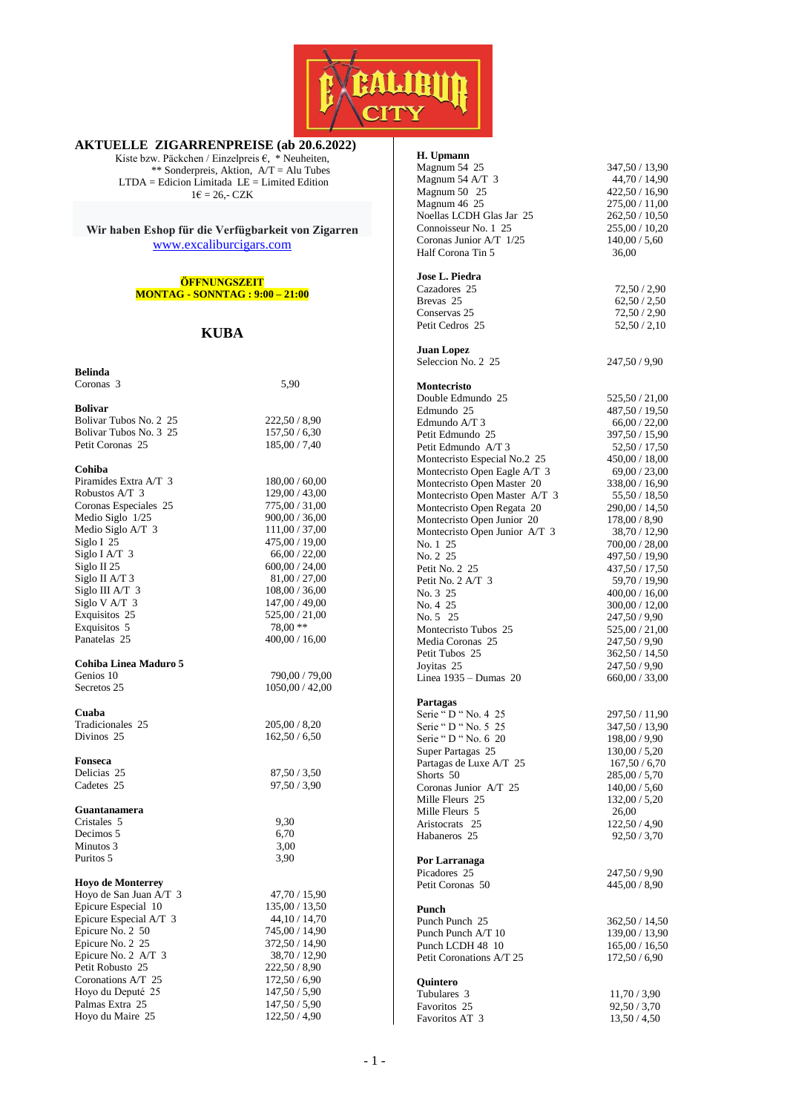

#### **AKTUELLE ZIGARRENPREISE (ab 20.6.2022)**

Kiste bzw. Päckchen / Einzelpreis €, \* Neuheiten, \*\* Sonderpreis, Aktion,  $A/T = Alu$  Tubes LTDA = Edicion Limitada LE = Limited Edition  $1 \in \mathbb{26}$ ,- CZK

**Wir haben Eshop für die Verfügbarkeit von Zigarren** [www.excaliburcigars.com](http://www.excaliburcigars.com/)

### **ÖFFNUNGSZEIT MONTAG - SONNTAG : 9:00 – 21:00**

## **KUBA**

| Belinda                                       |                 |
|-----------------------------------------------|-----------------|
| Coronas 3                                     | 5,90            |
|                                               |                 |
| <b>Bolivar</b>                                |                 |
| Bolivar Tubos No. 2 25                        | 222,50 / 8,90   |
| Bolivar Tubos No. 3 25                        | 157,50 / 6,30   |
| Petit Coronas 25                              | 185,00 / 7,40   |
|                                               |                 |
| Cohiba                                        |                 |
| Piramides Extra A/T 3                         | 180,00 / 60,00  |
| Robustos A/T 3                                | 129,00 / 43,00  |
| Coronas Especiales 25                         | 775,00 / 31,00  |
| Medio Siglo 1/25                              | 900,00 / 36,00  |
| Medio Siglo A/T 3                             | 111,00 / 37,00  |
| Siglo I 25                                    | 475,00 / 19,00  |
| Siglo I A/T $3$                               | 66,00 / 22,00   |
| Siglo II 25                                   | 600,00 / 24,00  |
| Siglo II A/T 3                                | 81,00 / 27,00   |
| Siglo III A/T 3                               | 108,00 / 36,00  |
| Siglo V A/T 3                                 | 147,00 / 49,00  |
| Exquisitos 25                                 | 525,00 / 21,00  |
| Exquisitos 5                                  | 78,00 **        |
| Panatelas 25                                  | 400,00 / 16,00  |
|                                               |                 |
| <b>Cohiba Linea Maduro 5</b>                  |                 |
| Genios 10                                     | 790,00 / 79,00  |
| Secretos 25                                   | 1050,00 / 42,00 |
|                                               |                 |
| Cuaba                                         |                 |
| Tradicionales 25                              | 205,00/8,20     |
| Divinos 25                                    | 162,50/6,50     |
|                                               |                 |
| Fonseca                                       |                 |
| Delicias 25                                   | 87,50/3,50      |
| Cadetes 25                                    | 97,50 / 3,90    |
|                                               |                 |
| Guantanamera                                  |                 |
| Cristales 5                                   | 9,30            |
| Decimos 5                                     | 6,70            |
| Minutos 3                                     | 3,00            |
| Puritos 5                                     | 3,90            |
|                                               |                 |
| <b>Hoyo de Monterrey</b>                      |                 |
| Hoyo de San Juan A/T 3                        | 47,70 / 15,90   |
|                                               |                 |
| Epicure Especial 10<br>Epicure Especial A/T 3 | 135,00 / 13,50  |
|                                               | 44, 10 / 14, 70 |
| Epicure No. 2 50                              | 745,00 / 14,90  |
| Epicure No. 2 25                              | 372,50 / 14,90  |
| Epicure No. 2 A/T 3                           | 38,70 / 12,90   |
| Petit Robusto 25                              | 222,50 / 8,90   |
| Coronations A/T 25                            | 172,50/6,90     |
| Hoyo du Deputé 25                             | 147,50 / 5,90   |
| Palmas Extra 25                               | 147,50 / 5,90   |
| Hoyo du Maire 25                              | 122,50 / 4,90   |

#### **H. Upmann**

| Magnum 54 25                        | 347,50 / 13,90                  |
|-------------------------------------|---------------------------------|
| Magnum 54 A/T 3                     | 44,70 / 14,90                   |
| Magnum 50 25                        | 422,50 / 16,90                  |
| Magnum 46 25                        | 275,00 / 11,00                  |
| Noellas LCDH Glas Jar 25            | 262,50 / 10,50                  |
| Connoisseur No. 1 25                | 255,00 / 10,20                  |
| Coronas Junior A/T 1/25             | 140,00 / 5,60                   |
| Half Corona Tin 5                   | 36,00                           |
| Jose L. Piedra                      |                                 |
| Cazadores 25                        | 72,50 / 2,90                    |
| Brevas <sub>25</sub>                | 62,50/2,50                      |
| Conservas 25<br>Petit Cedros 25     | 72,50 / 2,90<br>52,50/2,10      |
| <b>Juan Lopez</b>                   |                                 |
| Seleccion No. 2 25                  | 247,50 / 9,90                   |
| Montecristo                         |                                 |
| Double Edmundo 25                   | 525,50 / 21,00                  |
| Edmundo 25<br>Edmundo A/T 3         | 487,50 / 19,50                  |
| Petit Edmundo 25                    | 66,00 / 22,00<br>397,50 / 15,90 |
| Petit Edmundo A/T 3                 | 52,50 / 17,50                   |
| Montecristo Especial No.2 25        | $450,\!00$ / $18,\!00$          |
| Montecristo Open Eagle A/T 3        | 69,00 / 23,00                   |
| Montecristo Open Master 20          | 338,00 / 16,90                  |
| Montecristo Open Master A/T 3       | 55,50 / 18,50                   |
| Montecristo Open Regata 20          | 290,00 / 14,50                  |
| Montecristo Open Junior 20          | 178,00 / 8,90                   |
| Montecristo Open Junior A/T 3       | 38,70 / 12,90                   |
| No. 1 25                            | 700,00 / 28,00                  |
| No. 2 25                            | 497,50 / 19,90                  |
| Petit No. 2 25                      | 437,50 / 17,50                  |
| Petit No. 2 A/T 3                   | 59,70 / 19,90                   |
| No. 3 25                            | 400,00 / 16,00                  |
| No. 4 25                            | 300,00 / 12,00                  |
| No. 5 25                            | 247,50 / 9,90                   |
| Montecristo Tubos 25                | 525,00 / 21,00                  |
| Media Coronas 25                    | 247,50 / 9,90                   |
| Petit Tubos 25                      | 362,50 / 14,50                  |
| Joyitas 25<br>Linea 1935 – Dumas 20 | 247,50 / 9,90<br>660,00 / 33,00 |
| Partagas                            |                                 |
| Serie "D "No. 4 25                  | 297,50 / 11,90                  |
| Serie "D "No. 5 25                  | 347,50 / 13,90                  |
| Serie "D " No. 6 20                 | 198,00 / 9,90                   |
| Super Partagas 25                   | 130,00 / 5,20                   |
| Partagas de Luxe A/T 25             | 167,50 / 6,70                   |
| Shorts 50                           | 285,00 / 5,70                   |
| Coronas Junior A/T 25               | 140,00 / 5,60                   |
| Mille Fleurs 25                     | 132,00 / 5,20                   |
| Mille Fleurs 5                      | 26,00                           |
| Aristocrats 25<br>Habaneros 25      | 122,50 / 4,90<br>92,50/3,70     |
| Por Larranaga                       |                                 |
| Picadores 25                        | 247,50 / 9,90                   |
| Petit Coronas 50                    | 445,00 / 8,90                   |
| Punch                               |                                 |
| Punch Punch 25                      | 362,50 / 14,50                  |
| Punch Punch A/T 10                  | 139,00 / 13,90                  |
| Punch LCDH 48 10                    | 165,00 / 16,50                  |
| Petit Coronations A/T 25            | 172,50 / 6,90                   |
| Quintero                            |                                 |
| Tubulares 3                         | 11,70 / 3,90                    |
| Favoritos 25                        | 92,50/3,70                      |
| Favoritos AT 3                      | 13,50 / 4,50                    |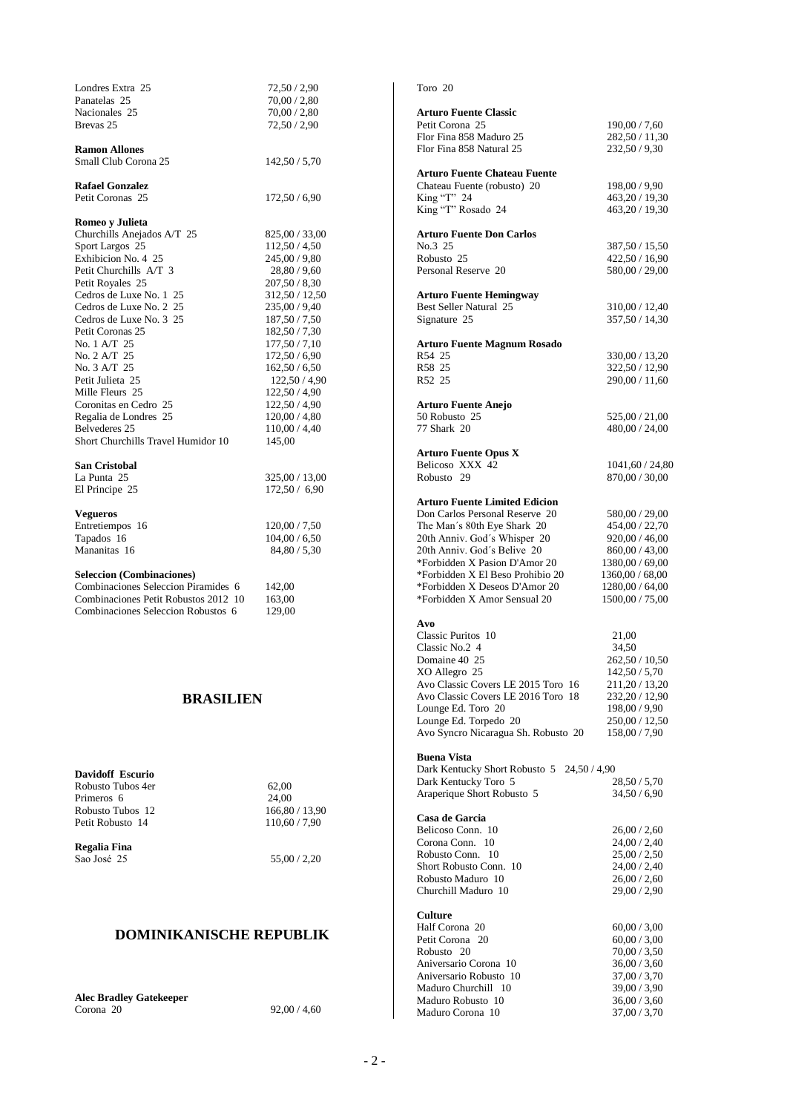| Londres Extra 25<br>Panatelas 25<br>Nacionales 25<br>Brevas 25                                                                                                                                                                                                                                                                                                                                       | 72,50 / 2,90<br>70,00/2,80<br>70,00 / 2,80<br>72,50/2,90                                                                                                                                                                                                                                     |
|------------------------------------------------------------------------------------------------------------------------------------------------------------------------------------------------------------------------------------------------------------------------------------------------------------------------------------------------------------------------------------------------------|----------------------------------------------------------------------------------------------------------------------------------------------------------------------------------------------------------------------------------------------------------------------------------------------|
| <b>Ramon Allones</b><br>Small Club Corona 25                                                                                                                                                                                                                                                                                                                                                         | 142,50 / 5,70                                                                                                                                                                                                                                                                                |
| <b>Rafael Gonzalez</b><br>Petit Coronas 25                                                                                                                                                                                                                                                                                                                                                           | 172,50 / 6,90                                                                                                                                                                                                                                                                                |
| Romeo v Julieta<br>Churchills Anejados A/T 25<br>Sport Largos 25<br>Exhibicion No. 4 25<br>Petit Churchills A/T 3<br>Petit Royales 25<br>Cedros de Luxe No. 1 25<br>Cedros de Luxe No. 2 25<br>Cedros de Luxe No. 3 25<br>Petit Coronas 25<br>No. 1 A/T 25<br>No. 2 A/T 25<br>No. 3 A/T 25<br>Petit Julieta 25<br>Mille Fleurs 25<br>Coronitas en Cedro 25<br>Regalia de Londres 25<br>Belvederes 25 | 825,00 / 33,00<br>112,50 / 4,50<br>245,00 / 9,80<br>28,80 / 9,60<br>207,50 / 8,30<br>312,50 / 12,50<br>235,00 / 9,40<br>187,50 / 7,50<br>182,50 / 7,30<br>177,50 / 7,10<br>172,50 / 6,90<br>162,50/6,50<br>122,50 / 4,90<br>122,50 / 4,90<br>122,50 / 4,90<br>120,00 / 4,80<br>110,00 / 4,40 |
| Short Churchills Travel Humidor 10<br><b>San Cristobal</b><br>La Punta 25                                                                                                                                                                                                                                                                                                                            | 145,00<br>325,00 / 13,00                                                                                                                                                                                                                                                                     |
| El Principe 25<br><b>Vegueros</b><br>Entretiempos 16<br>Tapados 16<br>Mananitas 16                                                                                                                                                                                                                                                                                                                   | 172,50 / 6,90<br>120,00 / 7,50<br>104,00 / 6,50<br>84,80 / 5,30                                                                                                                                                                                                                              |
| <b>Seleccion (Combinaciones)</b><br>Combinaciones Seleccion Piramides 6<br>Combinaciones Petit Robustos 2012 10<br>Combinaciones Seleccion Robustos 6                                                                                                                                                                                                                                                | 142,00<br>163,00<br>129,00                                                                                                                                                                                                                                                                   |
| <b>BRASILIEN</b>                                                                                                                                                                                                                                                                                                                                                                                     |                                                                                                                                                                                                                                                                                              |

**Davidoff Escurio** Robusto Tubos 4er 62,00 Primeros 6 24,00 Robusto Tubos 12 166,80 / 13,90 Petit Robusto 14 110,60 / 7,90

**Regalia Fina** Sao José 25 55,00 / 2,20

## **DOMINIKANISCHE REPUBLIK**

**Alec Bradley Gatekeeper** Corona 20 92,00 / 4,60

| Toro 20                                                             |                                    |
|---------------------------------------------------------------------|------------------------------------|
| <b>Arturo Fuente Classic</b>                                        |                                    |
| Petit Corona 25                                                     | 190,00 / 7,60                      |
| Flor Fina 858 Maduro 25                                             | 282,50 / 11,30                     |
| Flor Fina 858 Natural 25                                            | 232,50 / 9,30                      |
| <b>Arturo Fuente Chateau Fuente</b>                                 |                                    |
| Chateau Fuente (robusto) 20                                         | 198,00 / 9,90                      |
| King "T" 24<br>King "T" Rosado 24                                   | 463,20 / 19,30<br>463,20 / 19,30   |
|                                                                     |                                    |
| <b>Arturo Fuente Don Carlos</b><br>No.3 25                          | 387,50 / 15,50                     |
| Robusto 25                                                          | 422,50 / 16,90                     |
| Personal Reserve 20                                                 | 580,00 / 29,00                     |
| Arturo Fuente Hemingway                                             |                                    |
| Best Seller Natural 25                                              | 310,00 / 12,40                     |
| Signature 25                                                        | 357,50 / 14,30                     |
| <b>Arturo Fuente Magnum Rosado</b>                                  |                                    |
| R54 25                                                              | 330,00 / 13,20                     |
| R58 25                                                              | 322,50 / 12,90                     |
| R52 25                                                              | 290,00 / 11,60                     |
| <b>Arturo Fuente Anejo</b>                                          |                                    |
| 50 Robusto 25                                                       | 525,00 / 21,00                     |
| 77 Shark 20                                                         | 480,00 / 24,00                     |
| <b>Arturo Fuente Opus X</b>                                         |                                    |
| Belicoso XXX 42                                                     | 1041,60 / 24,80                    |
| Robusto 29                                                          | 870,00 / 30,00                     |
| <b>Arturo Fuente Limited Edicion</b>                                |                                    |
| Don Carlos Personal Reserve 20                                      | 580,00 / 29,00                     |
| The Man's 80th Eye Shark 20                                         | 454,00 / 22,70                     |
| 20th Anniv. God's Whisper 20                                        | 920,00 / 46,00                     |
| 20th Anniv. God's Belive 20                                         | 860,00 / 43,00                     |
| *Forbidden X Pasion D'Amor 20                                       | 1380,00 / 69,00                    |
| *Forbidden X El Beso Prohibio 20                                    | 1360,00 / 68,00                    |
| *Forbidden X Deseos D'Amor 20<br>*Forbidden X Amor Sensual 20       | 1280,00 / 64,00<br>1500,00 / 75,00 |
|                                                                     |                                    |
| Avo<br>Classic Puritos 10                                           | 21,00                              |
| Classic No.2 4                                                      | 34,50                              |
| Domaine 40 25                                                       | 262,50 / 10,50                     |
| XO Allegro 25                                                       | 142,50 / 5,70                      |
| Avo Classic Covers LE 2015 Toro<br>-16                              | 211,20 / 13,20                     |
| Avo Classic Covers LE 2016 Toro<br>18                               | 232,20 / 12,90                     |
| Lounge Ed. Toro 20                                                  | 198,00 / 9,90                      |
| Lounge Ed. Torpedo 20<br>Avo Syncro Nicaragua Sh. Robusto 20        | 250,00 / 12,50<br>158,00 / 7,90    |
|                                                                     |                                    |
| <b>Buena Vista</b><br>Dark Kentucky Short Robusto 5<br>24,50 / 4,90 |                                    |
| Dark Kentucky Toro 5                                                | 28,50 / 5,70                       |
| Araperique Short Robusto 5                                          | 34,50 / 6,90                       |
| Casa de Garcia                                                      |                                    |
| Belicoso Conn. 10                                                   | 26,00/2,60                         |
| Corona Conn.<br>10                                                  | 24,00 / 2,40                       |
| Robusto Conn.<br>-10                                                | 25,00/2,50                         |
| Short Robusto Conn. 10                                              | 24,00 / 2,40                       |
| Robusto Maduro 10                                                   | 26,00/2,60                         |
| Churchill Maduro 10                                                 | 29,00 / 2,90                       |
| Culture                                                             |                                    |
| Half Corona 20                                                      | 60,00 / 3,00                       |
| Petit Corona<br>20                                                  | 60,00 / 3,00                       |
| Robusto 20<br>Aniversario Corona 10                                 | 70,00 / 3,50<br>36,00 / 3,60       |
| Aniversario Robusto 10                                              | 37,00 / 3,70                       |
| Maduro Churchill<br>- 10                                            | 39,00 / 3,90                       |
| Maduro Robusto 10                                                   | 36,00 / 3,60                       |
| Maduro Corona 10                                                    | 37,00 / 3,70                       |
|                                                                     |                                    |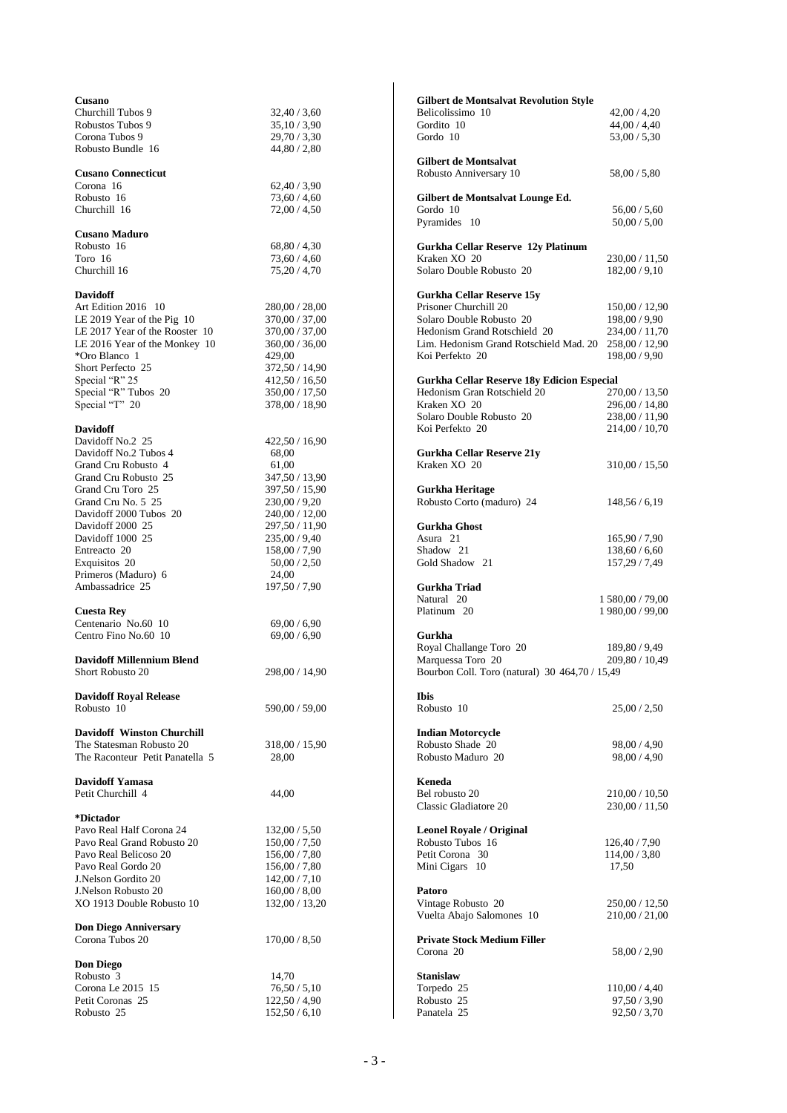| Cusano                            |                              | <b>Gilbert de Montsalvat Revolution Style</b>         |                                |
|-----------------------------------|------------------------------|-------------------------------------------------------|--------------------------------|
| Churchill Tubos 9                 | 32,40/3,60                   | Belicolissimo 10                                      | 42,00/4,20                     |
| Robustos Tubos 9                  | 35,10/3,90                   | Gordito 10                                            | 44,00 / 4,40                   |
| Corona Tubos 9                    | 29,70/3,30                   | Gordo 10                                              | 53,00/5,30                     |
| Robusto Bundle 16                 | 44,80 / 2,80                 |                                                       |                                |
|                                   |                              | <b>Gilbert de Montsalvat</b>                          |                                |
| <b>Cusano Connecticut</b>         |                              | Robusto Anniversary 10                                | 58,00 / 5,80                   |
| Corona 16                         | 62,40/3,90                   |                                                       |                                |
| Robusto 16                        | 73,60/4,60                   | Gilbert de Montsalvat Lounge Ed.                      |                                |
| Churchill 16                      | 72,00/4,50                   | Gordo 10<br>Pyramides 10                              | 56,00/5,60                     |
| <b>Cusano Maduro</b>              |                              |                                                       | 50,00 / 5,00                   |
| Robusto 16                        | 68,80/4,30                   | Gurkha Cellar Reserve 12y Platinum                    |                                |
| Toro 16                           | 73,60/4,60                   | Kraken XO 20                                          | 230,00 / 11,50                 |
| Churchill 16                      | 75,20 / 4,70                 | Solaro Double Robusto 20                              | 182,00/9,10                    |
|                                   |                              |                                                       |                                |
| <b>Davidoff</b>                   |                              | Gurkha Cellar Reserve 15y                             |                                |
| Art Edition 2016 10               | 280,00 / 28,00               | Prisoner Churchill 20                                 | 150,00 / 12,90                 |
| LE 2019 Year of the Pig 10        | 370,00 / 37,00               | Solaro Double Robusto 20                              | 198,00 / 9,90                  |
| LE 2017 Year of the Rooster 10    | 370,00 / 37,00               | Hedonism Grand Rotschield 20                          | 234,00 / 11,70                 |
| LE 2016 Year of the Monkey 10     | 360,00 / 36,00               | Lim. Hedonism Grand Rotschield Mad. 20 258,00 / 12,90 |                                |
| *Oro Blanco 1                     | 429,00                       | Koi Perfekto 20                                       | 198,00 / 9,90                  |
| Short Perfecto 25                 | 372,50 / 14,90               |                                                       |                                |
| Special "R" 25                    | 412,50 / 16,50               | <b>Gurkha Cellar Reserve 18y Edicion Especial</b>     |                                |
| Special "R" Tubos 20              | 350,00 / 17,50               | Hedonism Gran Rotschield 20                           | 270,00 / 13,50                 |
| Special "T" 20                    | 378,00 / 18,90               | Kraken XO 20                                          | 296,00 / 14,80                 |
|                                   |                              | Solaro Double Robusto 20                              | 238,00 / 11,90                 |
| Davidoff                          |                              | Koi Perfekto 20                                       | 214,00/10,70                   |
| Davidoff No.2 25                  | 422,50/16,90                 |                                                       |                                |
| Davidoff No.2 Tubos 4             | 68,00                        | <b>Gurkha Cellar Reserve 21y</b>                      |                                |
| Grand Cru Robusto 4               | 61,00                        | Kraken XO 20                                          | 310,00 / 15,50                 |
| Grand Cru Robusto 25              | 347,50 / 13,90               |                                                       |                                |
| Grand Cru Toro 25                 | 397,50 / 15,90               | Gurkha Heritage                                       |                                |
| Grand Cru No. 5 25                | 230,00/9,20                  | Robusto Corto (maduro) 24                             | 148,56/6,19                    |
| Davidoff 2000 Tubos 20            | 240,00 / 12,00               |                                                       |                                |
| Davidoff 2000 25                  | 297,50 / 11,90               | <b>Gurkha Ghost</b><br>Asura 21                       |                                |
| Davidoff 1000 25<br>Entreacto 20  | 235,00/9,40<br>158,00 / 7,90 | Shadow 21                                             | 165,90 / 7,90<br>138,60 / 6,60 |
| Exquisitos 20                     | 50,00/2,50                   | Gold Shadow 21                                        | 157,29 / 7,49                  |
| Primeros (Maduro) 6               | 24,00                        |                                                       |                                |
| Ambassadrice 25                   | 197,50 / 7,90                | Gurkha Triad                                          |                                |
|                                   |                              | Natural 20                                            | 1 580,00 / 79,00               |
| <b>Cuesta Rev</b>                 |                              | Platinum 20                                           | 1 980,00 / 99,00               |
| Centenario No.60 10               | 69,00/6,90                   |                                                       |                                |
| Centro Fino No.60 10              | 69,00 / 6,90                 | Gurkha                                                |                                |
|                                   |                              | Royal Challange Toro 20                               | 189,80 / 9,49                  |
| <b>Davidoff Millennium Blend</b>  |                              | Marquessa Toro 20                                     | 209,80 / 10,49                 |
| Short Robusto 20                  | 298,00 / 14,90               | Bourbon Coll. Toro (natural) 30 464,70 / 15,49        |                                |
|                                   |                              |                                                       |                                |
| <b>Davidoff Royal Release</b>     |                              | <b>Ibis</b>                                           |                                |
| Robusto 10                        | 590,00 / 59,00               | Robusto 10                                            | 25,00/2,50                     |
|                                   |                              |                                                       |                                |
| <b>Davidoff Winston Churchill</b> |                              | <b>Indian Motorcycle</b>                              |                                |
| The Statesman Robusto 20          | 318,00 / 15,90               | Robusto Shade 20                                      | 98,00 / 4,90                   |
| The Raconteur Petit Panatella 5   | 28,00                        | Robusto Maduro 20                                     | 98,00 / 4,90                   |
|                                   |                              |                                                       |                                |
| Davidoff Yamasa                   |                              | Keneda<br>Bel robusto 20                              |                                |
| Petit Churchill 4                 | 44,00                        |                                                       | 210,00 / 10,50                 |
| *Dictador                         |                              | Classic Gladiatore 20                                 | 230,00 / 11,50                 |
| Pavo Real Half Corona 24          | 132,00/5,50                  | <b>Leonel Royale / Original</b>                       |                                |
| Pavo Real Grand Robusto 20        | 150,00 / 7,50                | Robusto Tubos 16                                      | 126,40/7,90                    |
| Pavo Real Belicoso 20             | 156,00/7,80                  | Petit Corona 30                                       | 114,00/3,80                    |
| Pavo Real Gordo 20                | 156,00/7,80                  | Mini Cigars 10                                        | 17,50                          |
| J.Nelson Gordito 20               | 142,00/7,10                  |                                                       |                                |
| J.Nelson Robusto 20               | 160,00 / 8,00                | Patoro                                                |                                |
| XO 1913 Double Robusto 10         | 132,00 / 13,20               | Vintage Robusto 20                                    | 250,00 / 12,50                 |
|                                   |                              | Vuelta Abajo Salomones 10                             | 210,00/21,00                   |
| <b>Don Diego Anniversary</b>      |                              |                                                       |                                |
| Corona Tubos 20                   | 170,00 / 8,50                | <b>Private Stock Medium Filler</b>                    |                                |
|                                   |                              | Corona 20                                             | 58,00 / 2,90                   |
| <b>Don Diego</b>                  |                              |                                                       |                                |
| Robusto 3                         | 14,70                        | <b>Stanislaw</b>                                      |                                |
| Corona Le 2015 15                 | 76,50/5,10                   | Torpedo 25                                            | 110,00 / 4,40                  |
| Petit Coronas 25                  | 122,50 / 4,90                | Robusto 25                                            | 97,50/3,90                     |
| Robusto 25                        | 152,50/6,10                  | Panatela 25                                           | 92,50 / 3,70                   |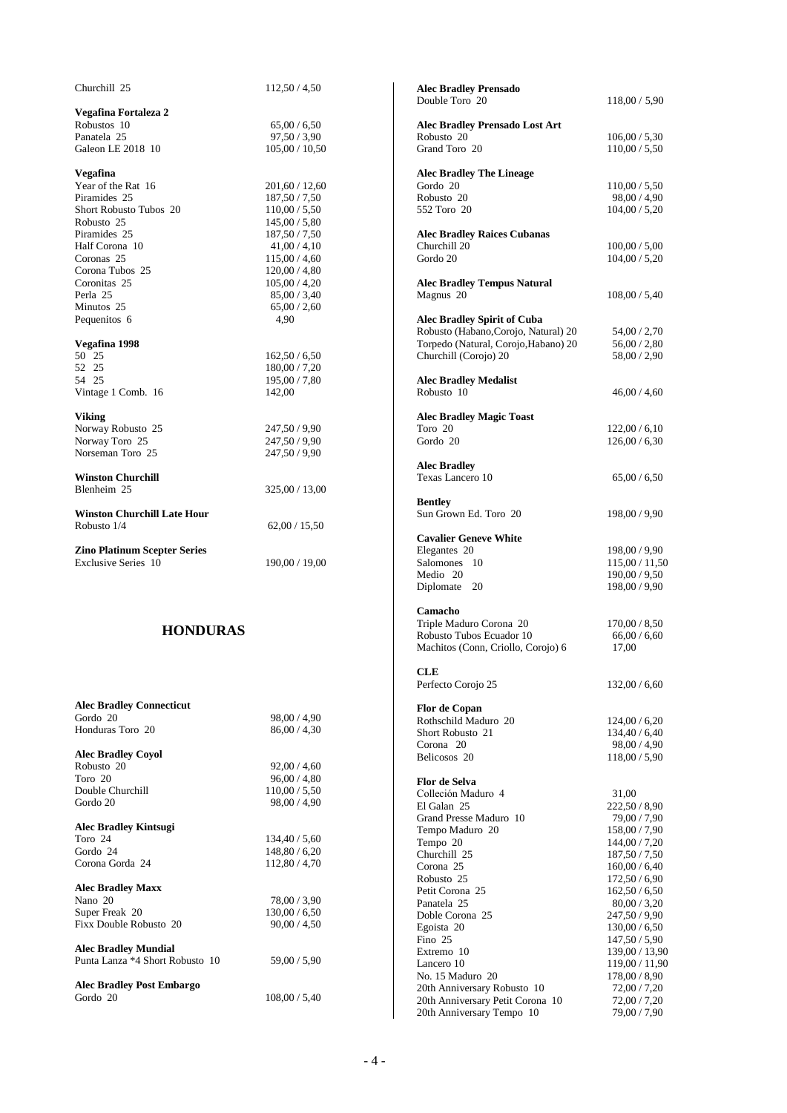| Churchill 25                                                   | 112,50/4,50                    | <b>Alec Bradley Prensado</b>             |                                 |
|----------------------------------------------------------------|--------------------------------|------------------------------------------|---------------------------------|
|                                                                |                                | Double Toro 20                           | 118,00 / 5,90                   |
| Vegafina Fortaleza 2<br>Robustos 10                            | 65,00/6,50                     | <b>Alec Bradley Prensado Lost Art</b>    |                                 |
| Panatela 25                                                    | 97,50/3,90                     | Robusto 20                               | 106,00 / 5,30                   |
| Galeon LE 2018 10                                              | 105,00 / 10,50                 | Grand Toro 20                            | 110,00 / 5,50                   |
|                                                                |                                |                                          |                                 |
| Vegafina                                                       |                                | <b>Alec Bradley The Lineage</b>          |                                 |
| Year of the Rat 16<br>Piramides 25                             | 201,60 / 12,60                 | Gordo 20                                 | 110,00 / 5,50<br>98,00 / 4,90   |
| Short Robusto Tubos 20                                         | 187,50 / 7,50<br>110,00 / 5,50 | Robusto 20<br>552 Toro 20                | 104,00 / 5,20                   |
| Robusto 25                                                     | 145,00/5,80                    |                                          |                                 |
| Piramides 25                                                   | 187,50 / 7,50                  | <b>Alec Bradley Raices Cubanas</b>       |                                 |
| Half Corona 10                                                 | 41,00/4,10                     | Churchill 20                             | 100,00 / 5,00                   |
| Coronas 25                                                     | 115,00 / 4,60                  | Gordo 20                                 | 104,00 / 5,20                   |
| Corona Tubos 25<br>Coronitas 25                                | 120,00/4,80<br>105,00/4,20     | <b>Alec Bradley Tempus Natural</b>       |                                 |
| Perla 25                                                       | 85,00/3,40                     | Magnus 20                                | 108,00 / 5,40                   |
| Minutos 25                                                     | 65,00/2,60                     |                                          |                                 |
| Pequenitos 6                                                   | 4,90                           | <b>Alec Bradley Spirit of Cuba</b>       |                                 |
|                                                                |                                | Robusto (Habano, Corojo, Natural) 20     | 54,00 / 2,70                    |
| Vegafina 1998<br>50 25                                         |                                | Torpedo (Natural, Corojo, Habano) 20     | 56,00/2,80                      |
| 52 25                                                          | 162,50/6,50<br>180,00 / 7,20   | Churchill (Corojo) 20                    | 58,00 / 2,90                    |
| 54 25                                                          | 195,00 / 7,80                  | <b>Alec Bradley Medalist</b>             |                                 |
| Vintage 1 Comb. 16                                             | 142,00                         | Robusto 10                               | 46,00 / 4,60                    |
|                                                                |                                |                                          |                                 |
| <b>Viking</b>                                                  |                                | <b>Alec Bradley Magic Toast</b>          |                                 |
| Norway Robusto 25<br>Norway Toro 25                            | 247,50 / 9,90<br>247,50 / 9,90 | Toro 20<br>Gordo 20                      | 122,00/6,10<br>126,00 / 6,30    |
| Norseman Toro 25                                               | 247,50 / 9,90                  |                                          |                                 |
|                                                                |                                | <b>Alec Bradley</b>                      |                                 |
| <b>Winston Churchill</b>                                       |                                | Texas Lancero 10                         | 65,00/6,50                      |
| Blenheim 25                                                    | 325,00 / 13,00                 |                                          |                                 |
| <b>Winston Churchill Late Hour</b>                             |                                | <b>Bentley</b><br>Sun Grown Ed. Toro 20  |                                 |
| Robusto 1/4                                                    | 62,00/15,50                    |                                          | 198,00 / 9,90                   |
|                                                                |                                | <b>Cavalier Geneve White</b>             |                                 |
| <b>Zino Platinum Scepter Series</b>                            |                                | Elegantes 20                             | 198,00 / 9,90                   |
| <b>Exclusive Series</b> 10                                     | 190,00 / 19,00                 | Salomones 10                             | 115,00 / 11,50                  |
|                                                                |                                | Medio 20                                 | 190,00 / 9,50                   |
|                                                                |                                | Diplomate 20                             | 198,00 / 9,90                   |
|                                                                |                                | Camacho                                  |                                 |
| <b>HONDURAS</b>                                                |                                | Triple Maduro Corona 20                  | 170,00 / 8,50                   |
|                                                                |                                | Robusto Tubos Ecuador 10                 | 66,00/6,60                      |
|                                                                |                                | Machitos (Conn, Criollo, Corojo) 6       | 17,00                           |
|                                                                |                                | CLE                                      |                                 |
|                                                                |                                | Perfecto Corojo 25                       | 132,00/6,60                     |
|                                                                |                                |                                          |                                 |
| <b>Alec Bradley Connecticut</b><br>Gordo 20                    | 98,00 / 4,90                   | Flor de Copan                            |                                 |
| Honduras Toro 20                                               | 86,00 / 4,30                   | Rothschild Maduro 20<br>Short Robusto 21 | 124,00/6,20<br>134,40 / 6,40    |
|                                                                |                                | Corona <sub>20</sub>                     | 98,00 / 4,90                    |
| <b>Alec Bradley Coyol</b>                                      |                                | Belicosos 20                             | 118,00 / 5,90                   |
| Robusto 20                                                     | 92,00/4,60                     |                                          |                                 |
| Toro 20<br>Double Churchill                                    | 96,00 / 4,80<br>110,00 / 5,50  | Flor de Selva                            |                                 |
| Gordo 20                                                       | 98,00 / 4,90                   | Colleción Maduro 4<br>El Galan 25        | 31,00                           |
|                                                                |                                | Grand Presse Maduro 10                   | 222,50 / 8,90<br>79,00 / 7,90   |
| <b>Alec Bradley Kintsugi</b>                                   |                                | Tempo Maduro 20                          | 158,00 / 7,90                   |
| Toro 24                                                        | 134,40/5,60                    | Tempo 20                                 | 144,00 / 7,20                   |
| Gordo 24                                                       | 148,80 / 6,20                  | Churchill 25                             | 187,50 / 7,50                   |
| Corona Gorda 24                                                | 112,80/4,70                    | Corona 25                                | 160,00 / 6,40                   |
| <b>Alec Bradley Maxx</b>                                       |                                | Robusto 25                               | 172,50/6,90                     |
| Nano 20                                                        | 78,00 / 3,90                   | Petit Corona 25<br>Panatela 25           | 162,50/6,50<br>80,00 / 3,20     |
| Super Freak 20                                                 | 130,00 / 6,50                  | Doble Corona 25                          | 247,50 / 9,90                   |
| Fixx Double Robusto 20                                         | 90,00 / 4,50                   | Egoista 20                               | 130,00 / 6,50                   |
|                                                                |                                | Fino 25                                  | 147,50 / 5,90                   |
| <b>Alec Bradley Mundial</b><br>Punta Lanza *4 Short Robusto 10 | 59,00 / 5,90                   | Extremo 10                               | 139,00 / 13,90                  |
|                                                                |                                | Lancero 10<br>No. 15 Maduro 20           | 119,00 / 11,90<br>178,00 / 8,90 |
| <b>Alec Bradley Post Embargo</b>                               |                                | 20th Anniversary Robusto 10              | 72,00/7,20                      |
| Gordo 20                                                       | 108,00 / 5,40                  | 20th Anniversary Petit Corona 10         | 72,00/7,20                      |
|                                                                |                                | 20th Anniversary Tempo 10                | 79,00 / 7,90                    |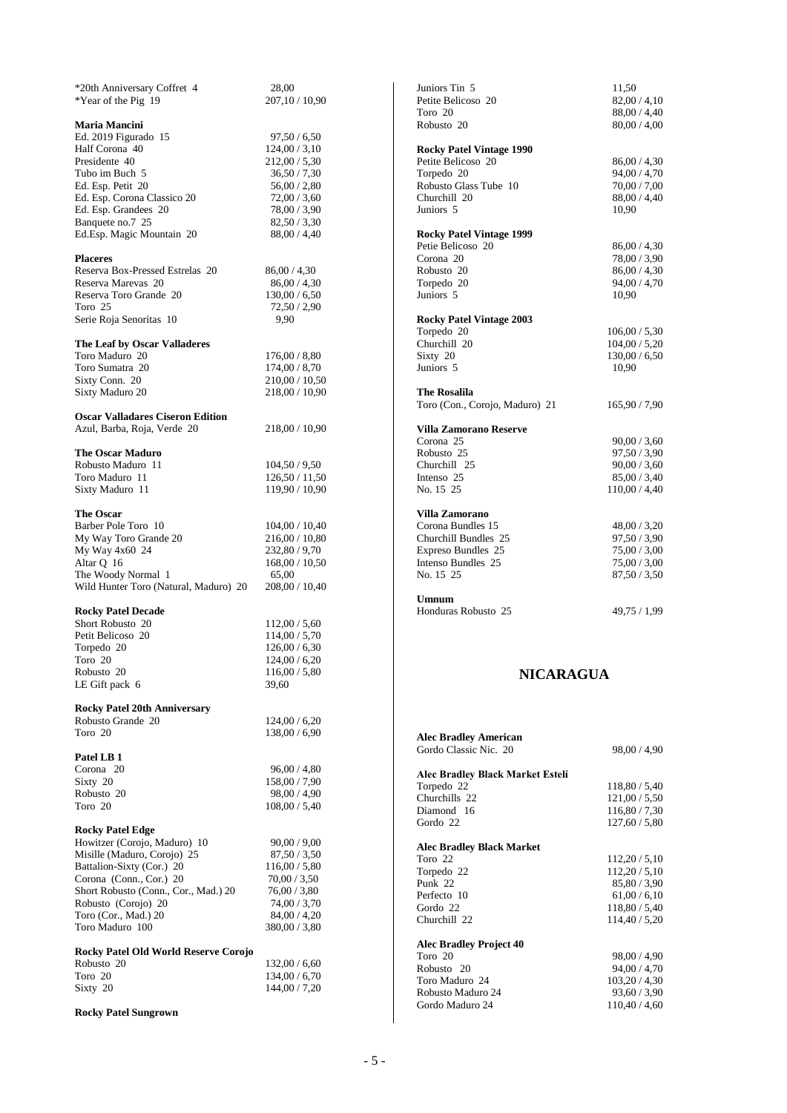| *20th Anniversary Coffret 4                              | 28,00                          |
|----------------------------------------------------------|--------------------------------|
| *Year of the Pig 19                                      | 207,10 / 10,90                 |
|                                                          |                                |
| <b>Maria Mancini</b>                                     |                                |
| Ed. 2019 Figurado 15                                     | 97,50/6,50                     |
| Half Corona 40                                           | 124,00 / 3,10                  |
| Presidente 40<br>Tubo im Buch 5                          | 212,00 / 5,30                  |
|                                                          | 36,50 / 7,30                   |
| Ed. Esp. Petit 20                                        | 56,00 / 2,80                   |
| Ed. Esp. Corona Classico 20<br>Ed. Esp. Grandees 20      | 72,00/3,60<br>78,00 / 3,90     |
| Banquete no.7 25                                         | 82,50/3,30                     |
| Ed.Esp. Magic Mountain 20                                | 88,00 / 4,40                   |
|                                                          |                                |
| <b>Placeres</b>                                          |                                |
| Reserva Box-Pressed Estrelas 20                          | 86,00/4,30                     |
| Reserva Marevas 20                                       | 86,00/4,30                     |
| Reserva Toro Grande 20                                   | 130,00/6,50                    |
| Toro 25                                                  | 72,50 / 2,90                   |
| Serie Roja Senoritas 10                                  | 9.90                           |
|                                                          |                                |
| The Leaf by Oscar Valladeres                             |                                |
| Toro Maduro 20                                           | 176,00 / 8,80                  |
| Toro Sumatra 20                                          | 174,00 / 8,70                  |
| Sixty Conn. 20                                           | 210,00 / 10,50                 |
| Sixty Maduro 20                                          | 218,00 / 10,90                 |
|                                                          |                                |
| <b>Oscar Valladares Ciseron Edition</b>                  |                                |
| Azul, Barba, Roja, Verde 20                              | 218,00 / 10,90                 |
| <b>The Oscar Maduro</b>                                  |                                |
| Robusto Maduro 11                                        | 104,50 / 9,50                  |
| Toro Maduro 11                                           | 126,50 / 11,50                 |
| Sixty Maduro 11                                          | 119,90 / 10,90                 |
|                                                          |                                |
| <b>The Oscar</b>                                         |                                |
| Barber Pole Toro 10                                      | 104,00 / 10,40                 |
| My Way Toro Grande 20                                    | 216,00 / 10,80                 |
| My Way 4x60 24                                           | 232,80 / 9,70                  |
| Altar Q 16                                               | 168,00 / 10,50                 |
| The Woody Normal 1                                       | 65,00                          |
| Wild Hunter Toro (Natural, Maduro) 20                    | 208,00 / 10,40                 |
|                                                          |                                |
| <b>Rocky Patel Decade</b>                                |                                |
| Short Robusto 20                                         | 112,00 / 5,60                  |
| Petit Belicoso 20                                        | 114,00 / 5,70                  |
| Torpedo 20                                               | 126,00 / 6,30                  |
| Toro 20                                                  | 124,00 / 6,20                  |
| Robusto 20                                               | 116,00 / 5,80                  |
| LE Gift pack 6                                           | 39,60                          |
|                                                          |                                |
| <b>Rocky Patel 20th Anniversary</b><br>Robusto Grande 20 | 124,00 / 6,20                  |
| Toro 20                                                  | 138,00 / 6,90                  |
|                                                          |                                |
| Patel LB 1                                               |                                |
| Corona 20                                                | 96,00 / 4,80                   |
| Sixty 20                                                 | 158,00 / 7,90                  |
| Robusto 20                                               | 98,00 / 4,90                   |
| Toro 20                                                  | 108,00 / 5,40                  |
|                                                          |                                |
| <b>Rocky Patel Edge</b>                                  |                                |
| Howitzer (Corojo, Maduro) 10                             | 90,00 / 9,00                   |
| Misille (Maduro, Corojo) 25                              | 87,50/3,50                     |
| Battalion-Sixty (Cor.) 20                                | 116,00 / 5,80                  |
| Corona (Conn., Cor.) 20                                  | 70,00/3,50                     |
| Short Robusto (Conn., Cor., Mad.) 20                     | 76,00 / 3,80                   |
| Robusto (Corojo) 20                                      | 74,00 / 3,70                   |
| Toro (Cor., Mad.) 20                                     | 84,00 / 4,20                   |
| Toro Maduro 100                                          | 380,00 / 3,80                  |
|                                                          |                                |
| Rocky Patel Old World Reserve Corojo                     |                                |
| Robusto 20<br>Toro 20                                    | 132,00 / 6,60                  |
| Sixty 20                                                 | 134,00 / 6,70<br>144,00 / 7,20 |
|                                                          |                                |
| <b>Rocky Patel Sungrown</b>                              |                                |
|                                                          |                                |

| Juniors Tin 5                                        | 11,50                        |
|------------------------------------------------------|------------------------------|
| Petite Belicoso 20                                   | 82,00/4,10                   |
| Toro 20                                              | 88,00 / 4,40                 |
| Robusto 20                                           | 80,00 / 4,00                 |
|                                                      |                              |
| <b>Rocky Patel Vintage 1990</b>                      |                              |
| Petite Belicoso 20                                   | 86,00 / 4,30                 |
| Torpedo 20                                           | 94,00 / 4,70                 |
| Robusto Glass Tube 10                                | 70,00 / 7,00                 |
| Churchill 20                                         | 88,00 / 4,40                 |
| Juniors <sub>5</sub>                                 | 10,90                        |
|                                                      |                              |
| <b>Rocky Patel Vintage 1999</b><br>Petie Belicoso 20 |                              |
| Corona 20                                            | 86,00 / 4,30                 |
| Robusto 20                                           | 78,00 / 3,90<br>86,00 / 4,30 |
|                                                      | 94,00 / 4,70                 |
| Torpedo 20                                           |                              |
| Juniors <sub>5</sub>                                 | 10,90                        |
| <b>Rocky Patel Vintage 2003</b>                      |                              |
| Torpedo 20                                           | 106,00 / 5,30                |
| Churchill 20                                         | 104,00 / 5,20                |
| Sixty 20                                             | 130,00 / 6,50                |
| Juniors <sub>5</sub>                                 | 10.90                        |
|                                                      |                              |
|                                                      |                              |
| <b>The Rosalila</b>                                  |                              |
| Toro (Con., Corojo, Maduro) 21                       | 165,90 / 7,90                |
|                                                      |                              |
| <b>Villa Zamorano Reserve</b>                        |                              |
| Corona 25                                            | 90,00 / 3,60                 |
| Robusto 25                                           | 97,50 / 3,90                 |
| Churchill 25                                         | 90,00 / 3,60                 |
| Intenso 25<br>No. 15 25                              | 85,00 / 3,40                 |
|                                                      | 110,00 / 4,40                |
| <b>Villa Zamorano</b>                                |                              |
| Corona Bundles 15                                    | 48,00 / 3,20                 |
| Churchill Bundles 25                                 |                              |
| Expreso Bundles 25                                   | 97,50 / 3,90<br>75,00 / 3,00 |
| Intenso Bundles 25                                   | 75,00 / 3,00                 |
| No. 15 25                                            | 87,50/3,50                   |
|                                                      |                              |
| Umnum                                                |                              |
| Honduras Robusto 25                                  | 49,75 / 1,99                 |
|                                                      |                              |

# **NICARAGUA**

| <b>Alec Bradley American</b>     |               |
|----------------------------------|---------------|
| Gordo Classic Nic. 20            | 98,00 / 4,90  |
| Alec Bradley Black Market Estelí |               |
| Torpedo 22                       | 118,80 / 5,40 |
| Churchills 22                    | 121,00/5,50   |
| Diamond 16                       | 116,80 / 7,30 |
| Gordo 22                         | 127,60 / 5,80 |
| <b>Alec Bradley Black Market</b> |               |
| Toro 22                          | 112,20/5,10   |
| Torpedo 22                       | 112,20/5,10   |
| Punk 22                          | 85,80 / 3,90  |
| Perfecto 10                      | 61,00/6,10    |
| Gordo 22                         | 118,80 / 5,40 |
| Churchill 22                     | 114,40 / 5,20 |
| <b>Alec Bradley Project 40</b>   |               |
| Toro 20                          | 98,00 / 4,90  |
| Robusto 20                       | 94,00 / 4,70  |
| Toro Maduro 24                   | 103,20/4,30   |
| Robusto Maduro 24                | 93,60/3,90    |
| Gordo Maduro 24                  | 110,40 / 4,60 |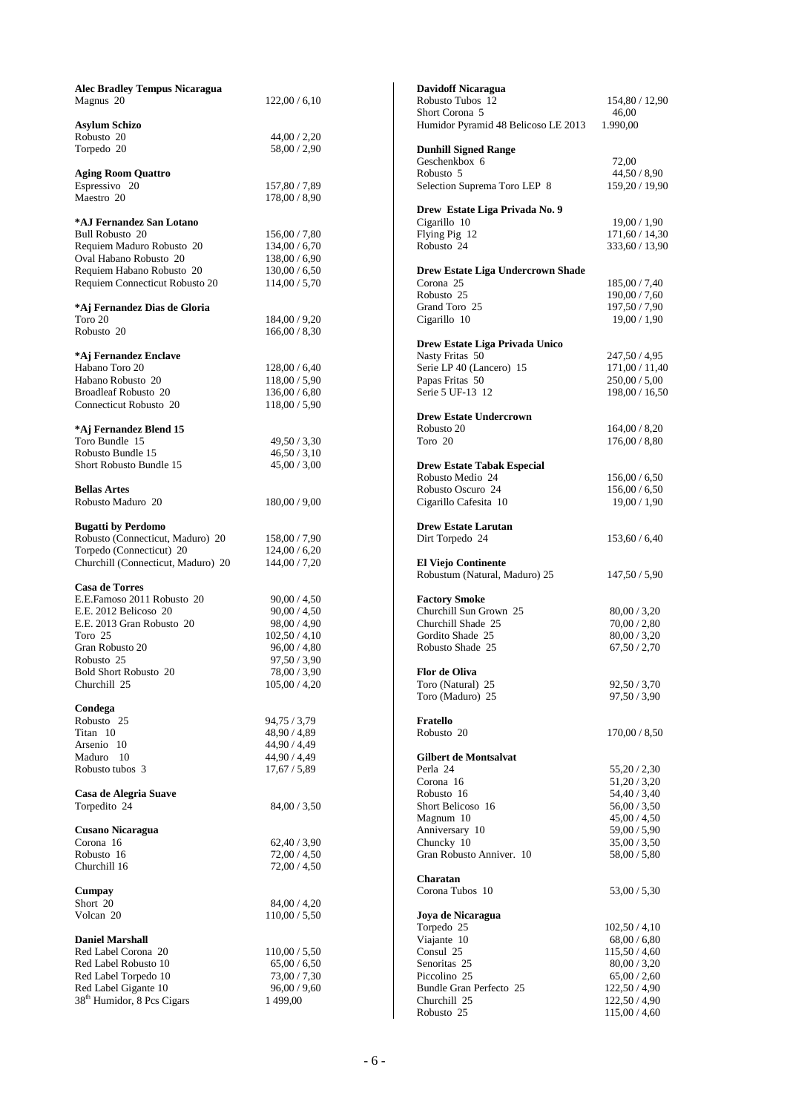| <b>Alec Bradley Tempus Nicaragua</b>       |                            | <b>Davidoff Nicaragua</b>                             |                                |
|--------------------------------------------|----------------------------|-------------------------------------------------------|--------------------------------|
| Magnus 20                                  | 122,00/6,10                | Robusto Tubos 12                                      | 154,80 / 12,90                 |
|                                            |                            | Short Corona 5                                        | 46,00                          |
| <b>Asylum Schizo</b>                       |                            | Humidor Pyramid 48 Belicoso LE 2013                   | 1.990,00                       |
| Robusto 20<br>Torpedo 20                   | 44,00/2,20                 |                                                       |                                |
|                                            | 58,00 / 2,90               | <b>Dunhill Signed Range</b><br>Geschenkbox 6          | 72,00                          |
| <b>Aging Room Quattro</b>                  |                            | Robusto 5                                             | 44,50/8,90                     |
| Espressivo 20                              | 157,80 / 7,89              | Selection Suprema Toro LEP 8                          | 159,20 / 19,90                 |
| Maestro 20                                 | 178,00/8,90                |                                                       |                                |
|                                            |                            | Drew Estate Liga Privada No. 9                        |                                |
| *AJ Fernandez San Lotano                   |                            | Cigarillo 10                                          | 19,00/1,90                     |
| <b>Bull Robusto 20</b>                     | 156,00/7,80                | Flying Pig 12                                         | 171,60/14,30                   |
| Requiem Maduro Robusto 20                  | 134,00/6,70                | Robusto 24                                            | 333,60 / 13,90                 |
| Oval Habano Robusto 20                     | 138,00 / 6,90              |                                                       |                                |
| Requiem Habano Robusto 20                  | 130,00 / 6,50              | <b>Drew Estate Liga Undercrown Shade</b>              |                                |
| Requiem Connecticut Robusto 20             | 114,00/5,70                | Corona 25<br>Robusto 25                               | 185,00 / 7,40<br>190,00 / 7,60 |
| *Aj Fernandez Dias de Gloria               |                            | Grand Toro 25                                         | 197,50 / 7,90                  |
| Toro 20                                    | 184,00/9,20                | Cigarillo 10                                          | 19,00/1,90                     |
| Robusto 20                                 | 166,00/8,30                |                                                       |                                |
|                                            |                            | Drew Estate Liga Privada Unico                        |                                |
| *Aj Fernandez Enclave                      |                            | Nasty Fritas 50                                       | 247,50 / 4,95                  |
| Habano Toro 20                             | 128,00 / 6,40              | Serie LP 40 (Lancero) 15                              | 171,00/11,40                   |
| Habano Robusto 20                          | 118,00 / 5,90              | Papas Fritas 50                                       | 250,00 / 5,00                  |
| <b>Broadleaf Robusto 20</b>                | 136,00 / 6,80              | Serie 5 UF-13 12                                      | 198,00 / 16,50                 |
| Connecticut Robusto 20                     | 118,00 / 5,90              |                                                       |                                |
|                                            |                            | <b>Drew Estate Undercrown</b>                         |                                |
| *Aj Fernandez Blend 15                     |                            | Robusto 20                                            | 164,00/8,20                    |
| Toro Bundle 15                             | 49,50/3,30                 | Toro 20                                               | 176,00 / 8,80                  |
| Robusto Bundle 15                          | 46,50/3,10                 |                                                       |                                |
| Short Robusto Bundle 15                    | 45,00/3,00                 | <b>Drew Estate Tabak Especial</b><br>Robusto Medio 24 |                                |
| <b>Bellas Artes</b>                        |                            | Robusto Oscuro 24                                     | 156,00 / 6,50<br>156,00 / 6,50 |
| Robusto Maduro 20                          | 180,00 / 9,00              | Cigarillo Cafesita 10                                 | 19,00/1,90                     |
|                                            |                            |                                                       |                                |
| <b>Bugatti by Perdomo</b>                  |                            | <b>Drew Estate Larutan</b>                            |                                |
| Robusto (Connecticut, Maduro) 20           | 158,00 / 7,90              | Dirt Torpedo 24                                       | 153,60/6,40                    |
| Torpedo (Connecticut) 20                   | 124,00/6,20                |                                                       |                                |
| Churchill (Connecticut, Maduro) 20         | 144,00/7,20                | <b>El Viejo Continente</b>                            |                                |
|                                            |                            | Robustum (Natural, Maduro) 25                         | 147,50/5,90                    |
| <b>Casa de Torres</b>                      |                            |                                                       |                                |
| E.E.Famoso 2011 Robusto 20                 | 90,00 / 4,50               | <b>Factory Smoke</b>                                  |                                |
| E.E. 2012 Belicoso 20                      | 90,00 / 4,50               | Churchill Sun Grown 25                                | 80,00/3,20                     |
| E.E. 2013 Gran Robusto 20                  | 98,00 / 4,90               | Churchill Shade 25                                    | 70,00 / 2,80                   |
| Toro 25                                    | 102,50/4,10                | Gordito Shade 25                                      | 80,00/3,20                     |
| Gran Robusto 20                            | 96,00 / 4,80               | Robusto Shade 25                                      | 67,50/2,70                     |
| Robusto 25<br><b>Bold Short Robusto 20</b> | 97,50/3,90<br>78,00 / 3,90 |                                                       |                                |
| Churchill 25                               | 105,00 / 4,20              | <b>Flor de Oliva</b><br>Toro (Natural) 25             | 92,50/3,70                     |
|                                            |                            | Toro (Maduro) 25                                      | 97,50/3,90                     |
| Condega                                    |                            |                                                       |                                |
| Robusto 25                                 | 94,75 / 3,79               | Fratello                                              |                                |
| Titan 10                                   | 48,90 / 4,89               | Robusto 20                                            | 170,00/8,50                    |
| Arsenio 10                                 | 44,90/4,49                 |                                                       |                                |
| Maduro 10                                  | 44,90 / 4,49               | <b>Gilbert de Montsalvat</b>                          |                                |
| Robusto tubos 3                            | 17,67/5,89                 | Perla 24                                              | 55,20/2,30                     |
|                                            |                            | Corona 16                                             | 51,20/3,20                     |
| Casa de Alegria Suave                      |                            | Robusto 16                                            | 54,40 / 3,40                   |
| Torpedito 24                               | 84,00/3,50                 | Short Belicoso 16                                     | 56,00/3,50                     |
|                                            |                            | Magnum 10                                             | 45,00/4,50                     |
| <b>Cusano Nicaragua</b>                    |                            | Anniversary 10                                        | 59,00 / 5,90                   |
| Corona 16                                  | 62,40/3,90                 | Chuncky 10                                            | 35,00/3,50                     |
| Robusto 16                                 | 72,00/4,50                 | Gran Robusto Anniver. 10                              | 58,00 / 5,80                   |
| Churchill 16                               | 72,00 / 4,50               | Charatan                                              |                                |
| Cumpay                                     |                            | Corona Tubos 10                                       | 53,00/5,30                     |
| Short 20                                   | 84,00/4,20                 |                                                       |                                |
| Volcan 20                                  | 110,00 / 5,50              | Joya de Nicaragua                                     |                                |
|                                            |                            | Torpedo 25                                            | 102,50/4,10                    |
| <b>Daniel Marshall</b>                     |                            | Viajante 10                                           | 68,00 / 6,80                   |
| Red Label Corona 20                        | 110,00/5,50                | Consul 25                                             | 115,50/4,60                    |
| Red Label Robusto 10                       | 65,00 / 6,50               | Senoritas 25                                          | 80,00 / 3,20                   |
| Red Label Torpedo 10                       | 73,00 / 7,30               | Piccolino 25                                          | 65,00/2,60                     |
| Red Label Gigante 10                       | 96,00/9,60                 | Bundle Gran Perfecto 25                               | 122,50 / 4,90                  |
| 38 <sup>th</sup> Humidor, 8 Pcs Cigars     | 1 499,00                   | Churchill 25                                          | 122,50 / 4,90                  |
|                                            |                            | Robusto 25                                            | 115,00 / 4,60                  |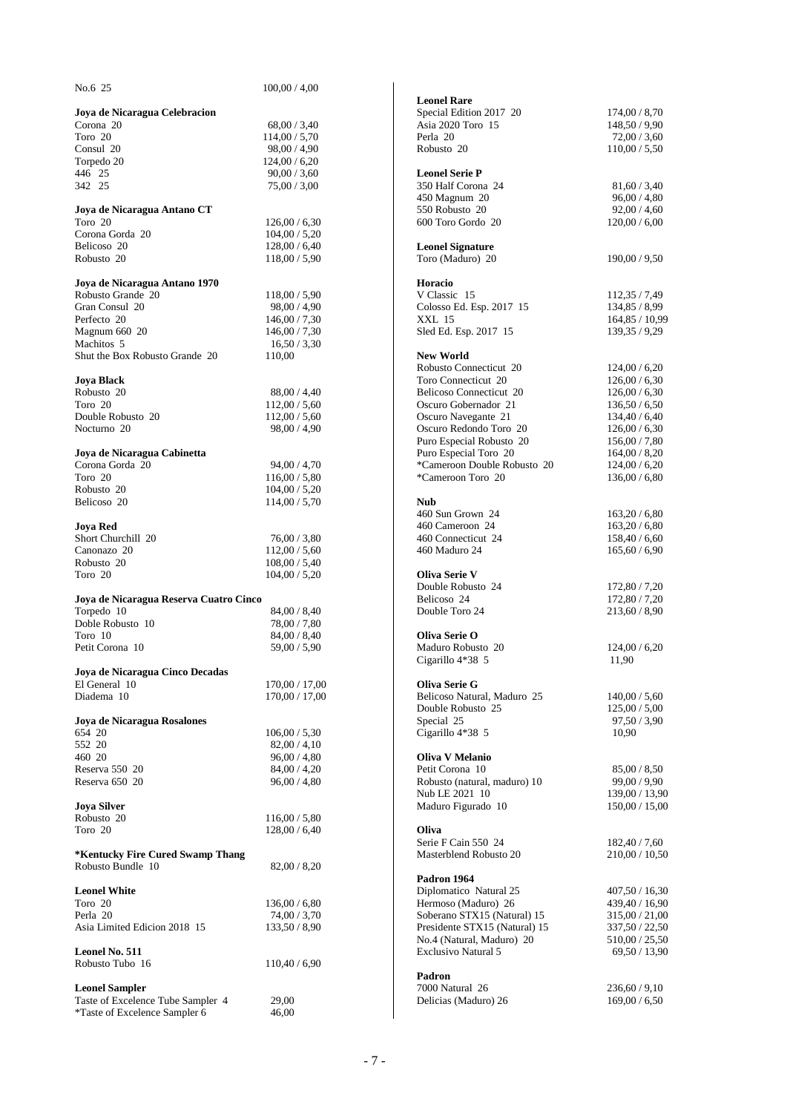| No.6 25                                              | 100,00/4,00                    |                                                         |                                 |
|------------------------------------------------------|--------------------------------|---------------------------------------------------------|---------------------------------|
|                                                      |                                | <b>Leonel Rare</b>                                      |                                 |
| Joya de Nicaragua Celebracion                        |                                | Special Edition 2017 20                                 | 174,00/8,70                     |
| Corona 20                                            | 68,00/3,40                     | Asia 2020 Toro 15                                       | 148,50 / 9,90                   |
| Toro 20<br>Consul 20                                 | 114,00/5,70<br>98,00 / 4,90    | Perla 20<br>Robusto 20                                  | 72,00/3,60<br>110,00 / 5,50     |
| Torpedo 20                                           | 124,00/6,20                    |                                                         |                                 |
| 446 25                                               | 90,00 / 3,60                   | <b>Leonel Serie P</b>                                   |                                 |
| 342 25                                               | 75,00/3,00                     | 350 Half Corona 24                                      | 81,60/3,40                      |
|                                                      |                                | 450 Magnum 20                                           | 96,00 / 4,80                    |
| Joya de Nicaragua Antano CT                          |                                | 550 Robusto 20                                          | 92,00 / 4,60                    |
| Toro 20                                              | 126,00/6,30                    | 600 Toro Gordo 20                                       | 120,00/6,00                     |
| Corona Gorda 20<br>Belicoso 20                       | 104,00 / 5,20<br>128,00 / 6,40 |                                                         |                                 |
| Robusto 20                                           | 118,00/5,90                    | <b>Leonel Signature</b><br>Toro (Maduro) 20             | 190,00/9,50                     |
|                                                      |                                |                                                         |                                 |
| Joya de Nicaragua Antano 1970                        |                                | <b>Horacio</b>                                          |                                 |
| Robusto Grande 20                                    | 118,00 / 5,90                  | V Classic 15                                            | 112,35 / 7,49                   |
| Gran Consul 20                                       | 98,00 / 4,90                   | Colosso Ed. Esp. 2017 15                                | 134,85 / 8,99                   |
| Perfecto 20                                          | 146,00/7,30                    | <b>XXL 15</b>                                           | 164,85 / 10,99                  |
| Magnum 660 20                                        | 146,00/7,30                    | Sled Ed. Esp. 2017 15                                   | 139, 35 / 9, 29                 |
| Machitos 5<br>Shut the Box Robusto Grande 20         | 16,50/3,30                     |                                                         |                                 |
|                                                      | 110,00                         | <b>New World</b><br>Robusto Connecticut 20              | 124,00/6,20                     |
| <b>Joya Black</b>                                    |                                | Toro Connecticut 20                                     | 126,00 / 6,30                   |
| Robusto 20                                           | 88,00 / 4,40                   | <b>Belicoso Connecticut 20</b>                          | 126,00/6,30                     |
| Toro 20                                              | 112,00/5,60                    | Oscuro Gobernador 21                                    | 136,50/6,50                     |
| Double Robusto 20                                    | 112,00/5,60                    | Oscuro Navegante 21                                     | 134,40/6,40                     |
| Nocturno 20                                          | 98,00 / 4,90                   | Oscuro Redondo Toro 20                                  | 126,00/6,30                     |
|                                                      |                                | Puro Especial Robusto 20                                | 156,00/7,80                     |
| Joya de Nicaragua Cabinetta                          |                                | Puro Especial Toro 20                                   | 164,00/8,20                     |
| Corona Gorda 20                                      | 94,00/4,70                     | *Cameroon Double Robusto 20                             | 124,00/6,20                     |
| Toro 20<br>Robusto 20                                | 116,00 / 5,80                  | *Cameroon Toro 20                                       | 136,00 / 6,80                   |
| Belicoso 20                                          | 104,00 / 5,20<br>114,00/5,70   | <b>Nub</b>                                              |                                 |
|                                                      |                                | 460 Sun Grown 24                                        | 163,20/6,80                     |
| <b>Joya Red</b>                                      |                                | 460 Cameroon 24                                         | 163,20/6,80                     |
| Short Churchill 20                                   | 76,00/3,80                     | 460 Connecticut 24                                      | 158,40/6,60                     |
| Canonazo 20                                          | 112,00/5,60                    | 460 Maduro 24                                           | 165,60/6,90                     |
| Robusto 20                                           | 108,00 / 5,40                  |                                                         |                                 |
| Toro 20                                              | 104,00 / 5,20                  | <b>Oliva Serie V</b>                                    |                                 |
|                                                      |                                | Double Robusto 24                                       | 172,80 / 7,20                   |
| Joya de Nicaragua Reserva Cuatro Cinco<br>Torpedo 10 | 84,00 / 8,40                   | Belicoso 24<br>Double Toro 24                           | 172,80 / 7,20<br>213,60 / 8,90  |
| Doble Robusto 10                                     | 78,00 / 7,80                   |                                                         |                                 |
| Toro 10                                              | 84,00 / 8,40                   | Oliva Serie O                                           |                                 |
| Petit Corona 10                                      | 59,00 / 5,90                   | Maduro Robusto 20                                       | 124,00/6,20                     |
|                                                      |                                | Cigarillo 4*38 5                                        | 11,90                           |
| Joya de Nicaragua Cinco Decadas                      |                                |                                                         |                                 |
| El General 10                                        | 170,00 / 17,00                 | <b>Oliva Serie G</b>                                    |                                 |
| Diadema 10                                           | 170,00 / 17,00                 | Belicoso Natural, Maduro 25<br>Double Robusto 25        | 140,00 / 5,60<br>125,00/5,00    |
| Joya de Nicaragua Rosalones                          |                                | Special 25                                              | 97,50/3,90                      |
| 654 20                                               | 106,00 / 5,30                  | Cigarillo 4*38 5                                        | 10,90                           |
| 552 20                                               | 82,00/4,10                     |                                                         |                                 |
| 460 20                                               | 96,00 / 4,80                   | <b>Oliva V Melanio</b>                                  |                                 |
| Reserva 550 20                                       | 84,00 / 4,20                   | Petit Corona 10                                         | 85,00/8,50                      |
| Reserva 650 20                                       | 96,00 / 4,80                   | Robusto (natural, maduro) 10                            | 99,00/9,90                      |
|                                                      |                                | Nub LE 2021 10                                          | 139,00 / 13,90                  |
| <b>Joya Silver</b>                                   |                                | Maduro Figurado 10                                      | 150,00 / 15,00                  |
| Robusto 20<br>Toro 20                                | 116,00 / 5,80<br>128,00 / 6,40 | Oliva                                                   |                                 |
|                                                      |                                | Serie F Cain 550 24                                     | 182,40/7,60                     |
| *Kentucky Fire Cured Swamp Thang                     |                                | Masterblend Robusto 20                                  | 210,00 / 10,50                  |
| Robusto Bundle 10                                    | 82,00/8,20                     |                                                         |                                 |
|                                                      |                                | Padron 1964                                             |                                 |
| <b>Leonel White</b>                                  |                                | Diplomatico Natural 25                                  | 407,50 / 16,30                  |
| Toro 20                                              | 136,00 / 6,80                  | Hermoso (Maduro) 26                                     | 439,40 / 16,90                  |
| Perla 20                                             | 74,00 / 3,70                   | Soberano STX15 (Natural) 15                             | 315,00 / 21,00                  |
| Asia Limited Edicion 2018 15                         | 133,50/8,90                    | Presidente STX15 (Natural) 15                           | 337,50 / 22,50                  |
| Leonel No. 511                                       |                                | No.4 (Natural, Maduro) 20<br><b>Exclusivo Natural 5</b> | 510,00 / 25,50<br>69,50 / 13,90 |
| Robusto Tubo 16                                      | 110,40/6,90                    |                                                         |                                 |
|                                                      |                                | Padron                                                  |                                 |
| <b>Leonel Sampler</b>                                |                                | 7000 Natural 26                                         | 236,60/9,10                     |
| Taste of Excelence Tube Sampler 4                    | 29,00                          | Delicias (Maduro) 26                                    | 169,00 / 6,50                   |
| *Taste of Excelence Sampler 6                        | 46,00                          |                                                         |                                 |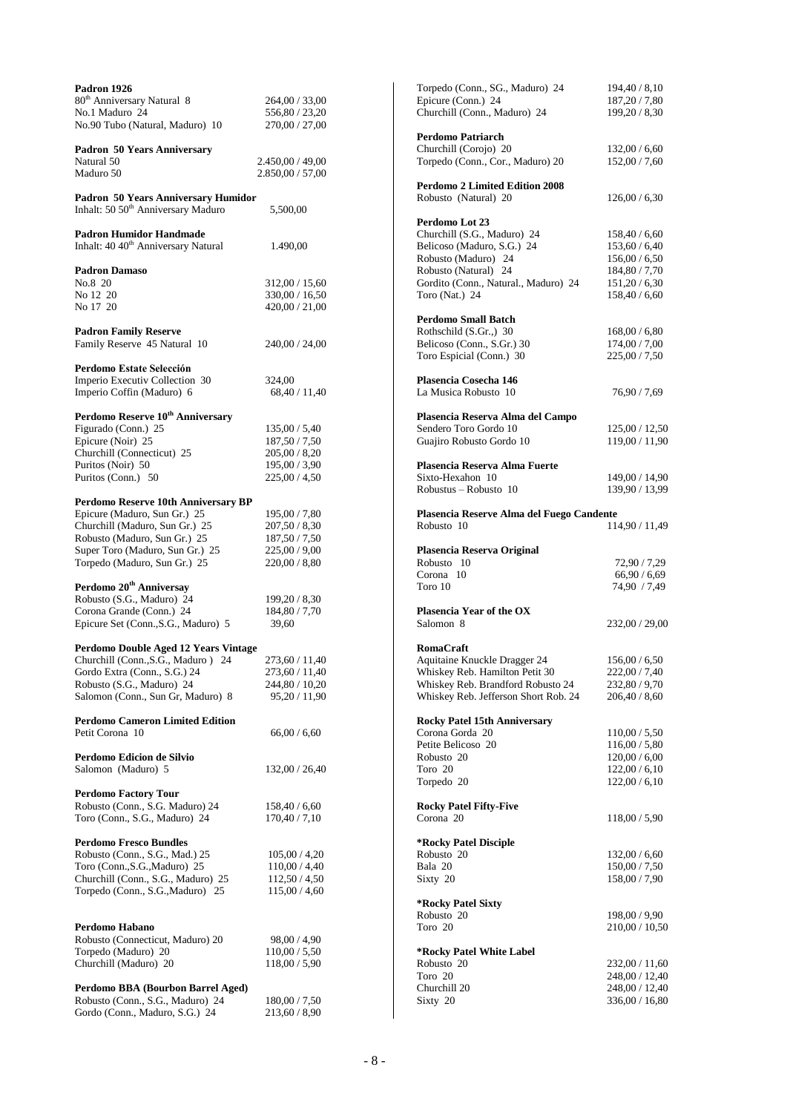| Padron 1926                                                                           |                  |
|---------------------------------------------------------------------------------------|------------------|
| 80 <sup>th</sup> Anniversary Natural 8                                                | 264,00 / 33,00   |
| No.1 Maduro 24                                                                        | 556,80 / 23,20   |
| No.90 Tubo (Natural, Maduro) 10                                                       | 270,00 / 27,00   |
| <b>Padron 50 Years Anniversary</b>                                                    |                  |
| Natural 50                                                                            | 2.450,00 / 49,00 |
| Maduro 50                                                                             | 2.850,00 / 57,00 |
|                                                                                       |                  |
| Padron 50 Years Anniversary Humidor<br>Inhalt: 50 50 <sup>th</sup> Anniversary Maduro |                  |
|                                                                                       | 5,500,00         |
| <b>Padron Humidor Handmade</b>                                                        |                  |
| Inhalt: 40 40 <sup>th</sup> Anniversary Natural                                       | 1.490,00         |
| <b>Padron Damaso</b>                                                                  |                  |
| No.8 20                                                                               | 312,00 / 15,60   |
| No 12 20                                                                              | 330,00 / 16,50   |
| No 17 20                                                                              | 420,00 / 21,00   |
|                                                                                       |                  |
| <b>Padron Family Reserve</b><br>Family Reserve 45 Natural 10                          | 240,00 / 24,00   |
|                                                                                       |                  |
| Perdomo Estate Selección                                                              |                  |
| Imperio Executiv Collection 30                                                        | 324,00           |
| Imperio Coffin (Maduro) 6                                                             | 68,40 / 11,40    |
| Perdomo Reserve 10 <sup>th</sup> Anniversary                                          |                  |
| Figurado (Conn.) 25                                                                   | 135,00 / 5,40    |
| Epicure (Noir) 25                                                                     | 187,50 / 7,50    |
| Churchill (Connecticut) 25                                                            | 205,00 / 8,20    |
| Puritos (Noir) 50                                                                     | 195,00 / 3,90    |
| Puritos (Conn.) 50                                                                    | 225,00 / 4,50    |
| Perdomo Reserve 10th Anniversary BP                                                   |                  |
| Epicure (Maduro, Sun Gr.) 25                                                          | 195,00 / 7,80    |
| Churchill (Maduro, Sun Gr.) 25                                                        | 207,50 / 8,30    |
| Robusto (Maduro, Sun Gr.) 25                                                          | 187,50 / 7,50    |
| Super Toro (Maduro, Sun Gr.) 25                                                       | 225,00 / 9,00    |
| Torpedo (Maduro, Sun Gr.) 25                                                          | 220,00 / 8,80    |
| Perdomo 20 <sup>th</sup> Anniversay                                                   |                  |
| Robusto (S.G., Maduro) 24                                                             | 199,20 / 8,30    |
| Corona Grande (Conn.) 24                                                              | 184,80 / 7,70    |
| Epicure Set (Conn., S.G., Maduro) 5                                                   | 39,60            |
| Perdomo Double Aged 12 Years Vintage                                                  |                  |
| Churchill (Conn., S.G., Maduro) 24                                                    | 273,60 / 11,40   |
| Gordo Extra (Conn., S.G.) 24                                                          | 273,60 / 11,40   |
| Robusto (S.G., Maduro) 24                                                             | 244,80 / 10,20   |
| Salomon (Conn., Sun Gr, Maduro) 8                                                     | 95,20 / 11,90    |
| <b>Perdomo Cameron Limited Edition</b>                                                |                  |
| Petit Corona 10                                                                       | 66,00/6,60       |
|                                                                                       |                  |
| <b>Perdomo Edicion de Silvio</b><br>Salomon (Maduro) 5                                |                  |
|                                                                                       | 132,00 / 26,40   |
| <b>Perdomo Factory Tour</b>                                                           |                  |
| Robusto (Conn., S.G. Maduro) 24                                                       | 158,40 / 6,60    |
| Toro (Conn., S.G., Maduro) 24                                                         | 170,40 / 7,10    |
| <b>Perdomo Fresco Bundles</b>                                                         |                  |
| Robusto (Conn., S.G., Mad.) 25                                                        | 105,00 / 4,20    |
| Toro (Conn., S.G., Maduro) 25                                                         | 110,00 / 4,40    |
| Churchill (Conn., S.G., Maduro) 25                                                    | 112,50 / 4,50    |
| Torpedo (Conn., S.G., Maduro) 25                                                      | 115,00 / 4,60    |
|                                                                                       |                  |
| Perdomo Habano                                                                        |                  |
| Robusto (Connecticut, Maduro) 20                                                      | 98,00 / 4,90     |
| Torpedo (Maduro) 20                                                                   | 110,00 / 5,50    |
| Churchill (Maduro) 20                                                                 | 118,00 / 5,90    |
| Perdomo BBA (Bourbon Barrel Aged)                                                     |                  |
| Robusto (Conn., S.G., Maduro) 24                                                      | 180,00 / 7,50    |
| Gordo (Conn., Maduro, S.G.) 24                                                        | 213,60 / 8,90    |

| Torpedo (Conn., SG., Maduro) 24                           | 194,40 / 8,10                    |
|-----------------------------------------------------------|----------------------------------|
| Epicure (Conn.) 24<br>Churchill (Conn., Maduro) 24        | 187,20 / 7,80                    |
|                                                           | 199,20 / 8,30                    |
| Perdomo Patriarch                                         |                                  |
| Churchill (Corojo) 20                                     | 132,00/6,60                      |
| Torpedo (Conn., Cor., Maduro) 20                          | 152,00 / 7,60                    |
| <b>Perdomo 2 Limited Edition 2008</b>                     |                                  |
| Robusto (Natural) 20                                      | 126,00/6,30                      |
|                                                           |                                  |
| Perdomo Lot 23                                            |                                  |
| Churchill (S.G., Maduro) 24<br>Belicoso (Maduro, S.G.) 24 | 158,40 / 6,60<br>153,60 / 6,40   |
| Robusto (Maduro) 24                                       | 156,00 / 6,50                    |
| Robusto (Natural) 24                                      | 184,80 / 7,70                    |
| Gordito (Conn., Natural., Maduro) 24                      | 151,20 / 6,30                    |
| Toro (Nat.) 24                                            | 158,40 / 6,60                    |
| Perdomo Small Batch                                       |                                  |
| Rothschild (S.Gr.,) 30                                    | 168,00/6,80                      |
| Belicoso (Conn., S.Gr.) 30                                | 174,00 / 7,00                    |
| Toro Espicial (Conn.) 30                                  | 225,00 / 7,50                    |
| Plasencia Cosecha 146                                     |                                  |
| La Musica Robusto 10                                      | 76,90 / 7,69                     |
|                                                           |                                  |
| Plasencia Reserva Alma del Campo                          |                                  |
| Sendero Toro Gordo 10<br>Guajiro Robusto Gordo 10         | 125,00 / 12,50<br>119,00 / 11,90 |
|                                                           |                                  |
| Plasencia Reserva Alma Fuerte                             |                                  |
| Sixto-Hexahon 10                                          | 149,00 / 14,90                   |
| Robustus - Robusto 10                                     | 139,90 / 13,99                   |
| Plasencia Reserve Alma del Fuego Candente                 |                                  |
| Robusto 10                                                | 114,90 / 11,49                   |
|                                                           |                                  |
|                                                           |                                  |
| Plasencia Reserva Original                                |                                  |
| Robusto 10                                                | 72,90 / 7,29                     |
| Corona 10<br>Toro 10                                      | 66,90 / 6,69<br>74,90 / 7,49     |
|                                                           |                                  |
| Plasencia Year of the OX                                  |                                  |
| Salomon 8                                                 | 232,00 / 29,00                   |
| <b>RomaCraft</b>                                          |                                  |
| Aquitaine Knuckle Dragger 24                              | 156,00 / 6,50                    |
| Whiskey Reb. Hamilton Petit 30                            | 222,00 / 7,40                    |
| Whiskey Reb. Brandford Robusto 24                         | 232,80 / 9,70                    |
| Whiskey Reb. Jefferson Short Rob. 24                      | 206,40 / 8,60                    |
| <b>Rocky Patel 15th Anniversary</b>                       |                                  |
| Corona Gorda 20                                           | 110,00 / 5,50                    |
| Petite Belicoso 20                                        | 116,00 / 5,80                    |
| Robusto 20                                                | 120,00 / 6,00                    |
| Toro 20<br>Torpedo 20                                     | 122,00/6,10<br>122,00/6,10       |
|                                                           |                                  |
| <b>Rocky Patel Fifty-Five</b>                             |                                  |
| Corona 20                                                 | 118,00 / 5,90                    |
| *Rocky Patel Disciple                                     |                                  |
| Robusto 20                                                | 132,00/6,60                      |
| Bala 20                                                   | 150,00 / 7,50                    |
| Sixty 20                                                  | 158,00 / 7,90                    |
| *Rocky Patel Sixty                                        |                                  |
| Robusto 20                                                | 198,00 / 9,90                    |
| Toro 20                                                   | 210,00 / 10,50                   |
|                                                           |                                  |
| *Rocky Patel White Label<br>Robusto 20                    | 232,00 / 11,60                   |
| Toro 20                                                   | 248,00 / 12,40                   |
| Churchill 20                                              | 248,00 / 12,40                   |
| Sixty 20                                                  | 336,00 / 16,80                   |